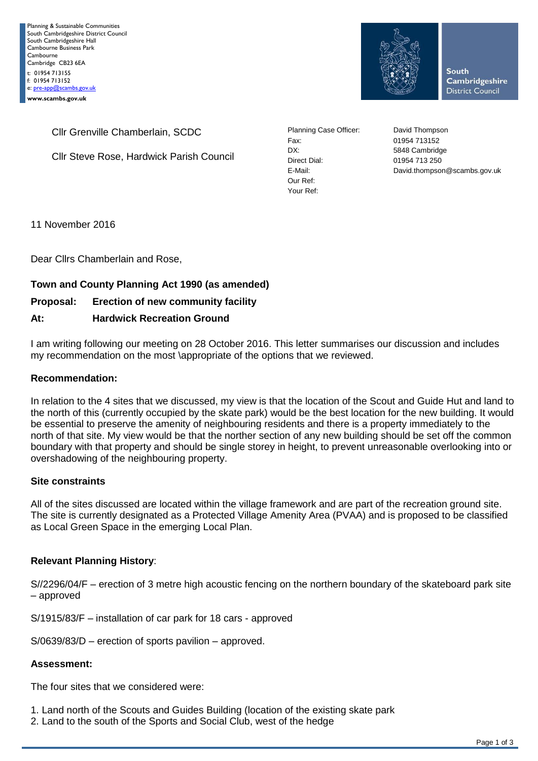

**South Cambridgeshire District Council** 

Cllr Grenville Chamberlain, SCDC

Cllr Steve Rose, Hardwick Parish Council

Planning Case Officer: David Thompson Fax: 01954 713152 DX: 5848 Cambridge Direct Dial: 01954 713 250 Our Ref: Your Ref:

E-Mail: David.thompson@scambs.gov.uk

11 November 2016

Dear Cllrs Chamberlain and Rose,

# **Town and County Planning Act 1990 (as amended)**

# **Proposal: Erection of new community facility**

## **At: Hardwick Recreation Ground**

I am writing following our meeting on 28 October 2016. This letter summarises our discussion and includes my recommendation on the most \appropriate of the options that we reviewed.

#### **Recommendation:**

In relation to the 4 sites that we discussed, my view is that the location of the Scout and Guide Hut and land to the north of this (currently occupied by the skate park) would be the best location for the new building. It would be essential to preserve the amenity of neighbouring residents and there is a property immediately to the north of that site. My view would be that the norther section of any new building should be set off the common boundary with that property and should be single storey in height, to prevent unreasonable overlooking into or overshadowing of the neighbouring property.

#### **Site constraints**

All of the sites discussed are located within the village framework and are part of the recreation ground site. The site is currently designated as a Protected Village Amenity Area (PVAA) and is proposed to be classified as Local Green Space in the emerging Local Plan.

## **Relevant Planning History**:

S//2296/04/F – erection of 3 metre high acoustic fencing on the northern boundary of the skateboard park site – approved

S/1915/83/F – installation of car park for 18 cars - approved

S/0639/83/D – erection of sports pavilion – approved.

#### **Assessment:**

The four sites that we considered were:

- 1. Land north of the Scouts and Guides Building (location of the existing skate park
- 2. Land to the south of the Sports and Social Club, west of the hedge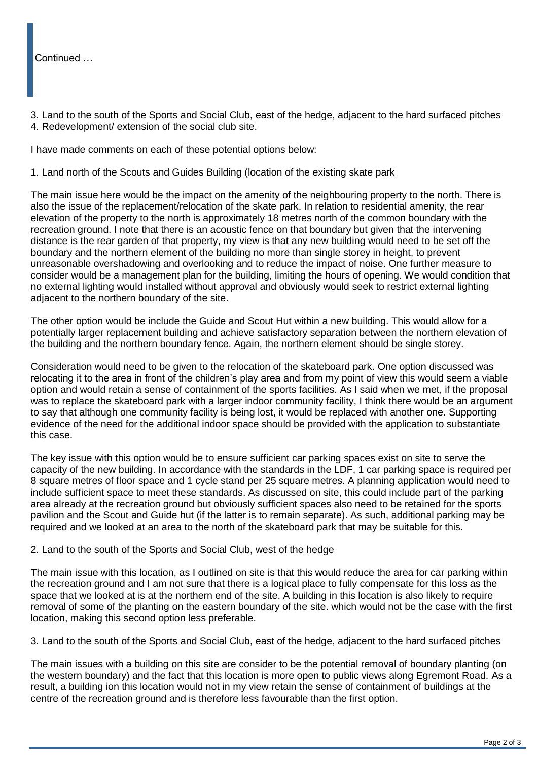## Continued …

3. Land to the south of the Sports and Social Club, east of the hedge, adjacent to the hard surfaced pitches 4. Redevelopment/ extension of the social club site.

I have made comments on each of these potential options below:

1. Land north of the Scouts and Guides Building (location of the existing skate park

The main issue here would be the impact on the amenity of the neighbouring property to the north. There is also the issue of the replacement/relocation of the skate park. In relation to residential amenity, the rear elevation of the property to the north is approximately 18 metres north of the common boundary with the recreation ground. I note that there is an acoustic fence on that boundary but given that the intervening distance is the rear garden of that property, my view is that any new building would need to be set off the boundary and the northern element of the building no more than single storey in height, to prevent unreasonable overshadowing and overlooking and to reduce the impact of noise. One further measure to consider would be a management plan for the building, limiting the hours of opening. We would condition that no external lighting would installed without approval and obviously would seek to restrict external lighting adjacent to the northern boundary of the site.

The other option would be include the Guide and Scout Hut within a new building. This would allow for a potentially larger replacement building and achieve satisfactory separation between the northern elevation of the building and the northern boundary fence. Again, the northern element should be single storey.

Consideration would need to be given to the relocation of the skateboard park. One option discussed was relocating it to the area in front of the children's play area and from my point of view this would seem a viable option and would retain a sense of containment of the sports facilities. As I said when we met, if the proposal was to replace the skateboard park with a larger indoor community facility, I think there would be an argument to say that although one community facility is being lost, it would be replaced with another one. Supporting evidence of the need for the additional indoor space should be provided with the application to substantiate this case.

The key issue with this option would be to ensure sufficient car parking spaces exist on site to serve the capacity of the new building. In accordance with the standards in the LDF, 1 car parking space is required per 8 square metres of floor space and 1 cycle stand per 25 square metres. A planning application would need to include sufficient space to meet these standards. As discussed on site, this could include part of the parking area already at the recreation ground but obviously sufficient spaces also need to be retained for the sports pavilion and the Scout and Guide hut (if the latter is to remain separate). As such, additional parking may be required and we looked at an area to the north of the skateboard park that may be suitable for this.

#### 2. Land to the south of the Sports and Social Club, west of the hedge

The main issue with this location, as I outlined on site is that this would reduce the area for car parking within the recreation ground and I am not sure that there is a logical place to fully compensate for this loss as the space that we looked at is at the northern end of the site. A building in this location is also likely to require removal of some of the planting on the eastern boundary of the site. which would not be the case with the first location, making this second option less preferable.

3. Land to the south of the Sports and Social Club, east of the hedge, adjacent to the hard surfaced pitches

The main issues with a building on this site are consider to be the potential removal of boundary planting (on the western boundary) and the fact that this location is more open to public views along Egremont Road. As a result, a building ion this location would not in my view retain the sense of containment of buildings at the centre of the recreation ground and is therefore less favourable than the first option.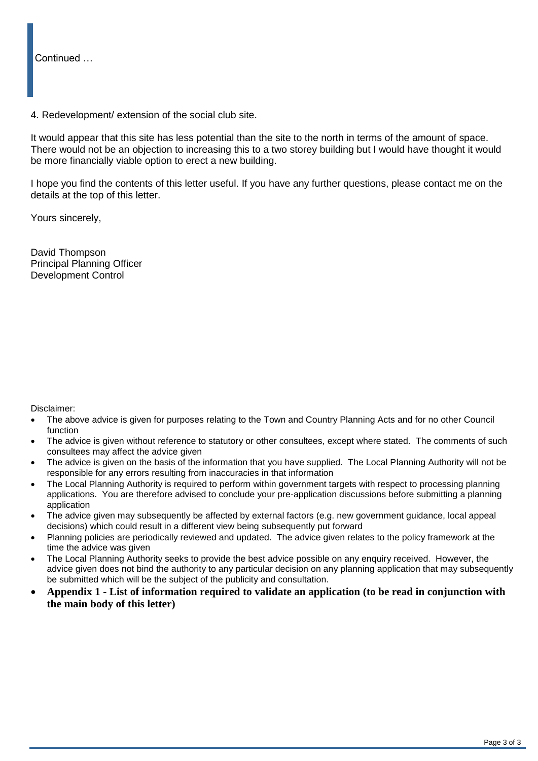Continued …

4. Redevelopment/ extension of the social club site.

It would appear that this site has less potential than the site to the north in terms of the amount of space. There would not be an objection to increasing this to a two storey building but I would have thought it would be more financially viable option to erect a new building.

I hope you find the contents of this letter useful. If you have any further questions, please contact me on the details at the top of this letter.

Yours sincerely,

David Thompson Principal Planning Officer Development Control

Disclaimer:

- The above advice is given for purposes relating to the Town and Country Planning Acts and for no other Council function
- The advice is given without reference to statutory or other consultees, except where stated. The comments of such consultees may affect the advice given
- The advice is given on the basis of the information that you have supplied. The Local Planning Authority will not be responsible for any errors resulting from inaccuracies in that information
- The Local Planning Authority is required to perform within government targets with respect to processing planning applications. You are therefore advised to conclude your pre-application discussions before submitting a planning application
- The advice given may subsequently be affected by external factors (e.g. new government guidance, local appeal decisions) which could result in a different view being subsequently put forward
- Planning policies are periodically reviewed and updated. The advice given relates to the policy framework at the time the advice was given
- The Local Planning Authority seeks to provide the best advice possible on any enquiry received. However, the advice given does not bind the authority to any particular decision on any planning application that may subsequently be submitted which will be the subject of the publicity and consultation.
- **Appendix 1 - List of information required to validate an application (to be read in conjunction with the main body of this letter)**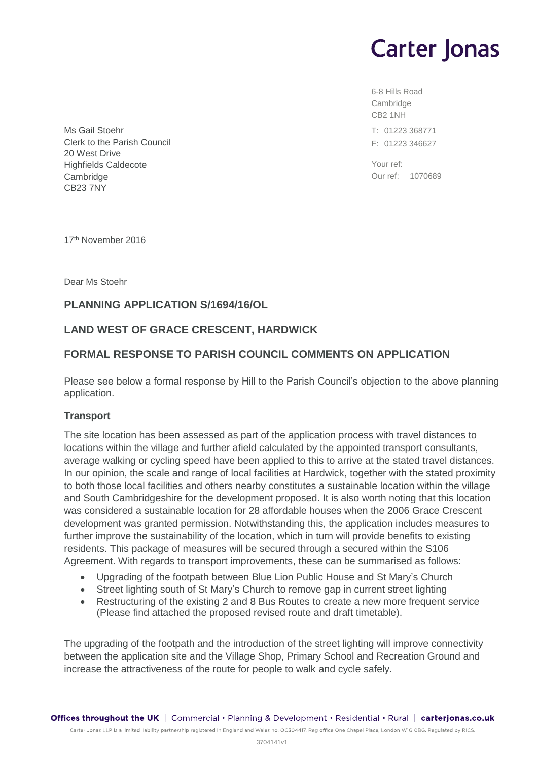# **Carter Jonas**

6-8 Hills Road Cambridge CB2 1NH T: 01223 368771 F: 01223 346627

Your ref: Our ref: 1070689

Ms Gail Stoehr Clerk to the Parish Council 20 West Drive Highfields Caldecote Cambridge CB23 7NY

17th November 2016

Dear Ms Stoehr

# **PLANNING APPLICATION S/1694/16/OL**

# **LAND WEST OF GRACE CRESCENT, HARDWICK**

# **FORMAL RESPONSE TO PARISH COUNCIL COMMENTS ON APPLICATION**

Please see below a formal response by Hill to the Parish Council's objection to the above planning application.

## **Transport**

The site location has been assessed as part of the application process with travel distances to locations within the village and further afield calculated by the appointed transport consultants, average walking or cycling speed have been applied to this to arrive at the stated travel distances. In our opinion, the scale and range of local facilities at Hardwick, together with the stated proximity to both those local facilities and others nearby constitutes a sustainable location within the village and South Cambridgeshire for the development proposed. It is also worth noting that this location was considered a sustainable location for 28 affordable houses when the 2006 Grace Crescent development was granted permission. Notwithstanding this, the application includes measures to further improve the sustainability of the location, which in turn will provide benefits to existing residents. This package of measures will be secured through a secured within the S106 Agreement. With regards to transport improvements, these can be summarised as follows:

- Upgrading of the footpath between Blue Lion Public House and St Mary's Church
- Street lighting south of St Mary's Church to remove gap in current street lighting
- Restructuring of the existing 2 and 8 Bus Routes to create a new more frequent service (Please find attached the proposed revised route and draft timetable).

The upgrading of the footpath and the introduction of the street lighting will improve connectivity between the application site and the Village Shop, Primary School and Recreation Ground and increase the attractiveness of the route for people to walk and cycle safely.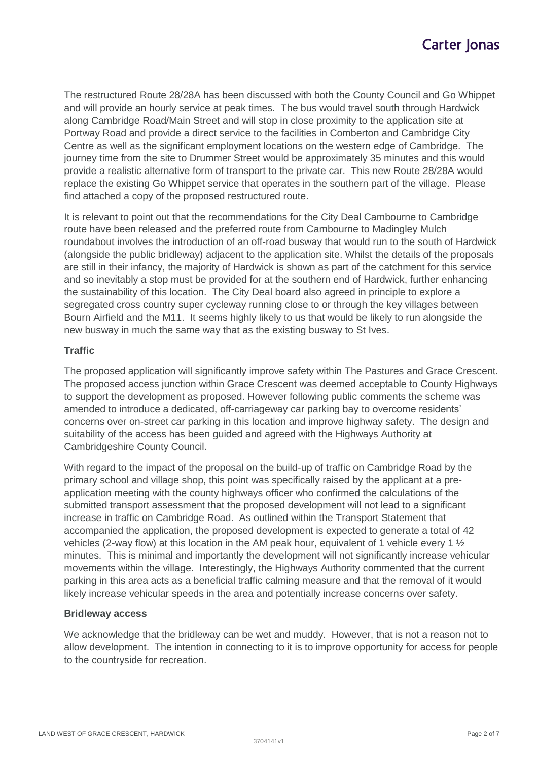The restructured Route 28/28A has been discussed with both the County Council and Go Whippet and will provide an hourly service at peak times. The bus would travel south through Hardwick along Cambridge Road/Main Street and will stop in close proximity to the application site at Portway Road and provide a direct service to the facilities in Comberton and Cambridge City Centre as well as the significant employment locations on the western edge of Cambridge. The journey time from the site to Drummer Street would be approximately 35 minutes and this would provide a realistic alternative form of transport to the private car. This new Route 28/28A would replace the existing Go Whippet service that operates in the southern part of the village. Please find attached a copy of the proposed restructured route.

It is relevant to point out that the recommendations for the City Deal Cambourne to Cambridge route have been released and the preferred route from Cambourne to Madingley Mulch roundabout involves the introduction of an off-road busway that would run to the south of Hardwick (alongside the public bridleway) adjacent to the application site. Whilst the details of the proposals are still in their infancy, the majority of Hardwick is shown as part of the catchment for this service and so inevitably a stop must be provided for at the southern end of Hardwick, further enhancing the sustainability of this location. The City Deal board also agreed in principle to explore a segregated cross country super cycleway running close to or through the key villages between Bourn Airfield and the M11. It seems highly likely to us that would be likely to run alongside the new busway in much the same way that as the existing busway to St Ives.

## **Traffic**

The proposed application will significantly improve safety within The Pastures and Grace Crescent. The proposed access junction within Grace Crescent was deemed acceptable to County Highways to support the development as proposed. However following public comments the scheme was amended to introduce a dedicated, off-carriageway car parking bay to overcome residents' concerns over on-street car parking in this location and improve highway safety. The design and suitability of the access has been guided and agreed with the Highways Authority at Cambridgeshire County Council.

With regard to the impact of the proposal on the build-up of traffic on Cambridge Road by the primary school and village shop, this point was specifically raised by the applicant at a preapplication meeting with the county highways officer who confirmed the calculations of the submitted transport assessment that the proposed development will not lead to a significant increase in traffic on Cambridge Road. As outlined within the Transport Statement that accompanied the application, the proposed development is expected to generate a total of 42 vehicles (2-way flow) at this location in the AM peak hour, equivalent of 1 vehicle every 1  $\frac{1}{2}$ minutes. This is minimal and importantly the development will not significantly increase vehicular movements within the village. Interestingly, the Highways Authority commented that the current parking in this area acts as a beneficial traffic calming measure and that the removal of it would likely increase vehicular speeds in the area and potentially increase concerns over safety.

## **Bridleway access**

We acknowledge that the bridleway can be wet and muddy. However, that is not a reason not to allow development. The intention in connecting to it is to improve opportunity for access for people to the countryside for recreation.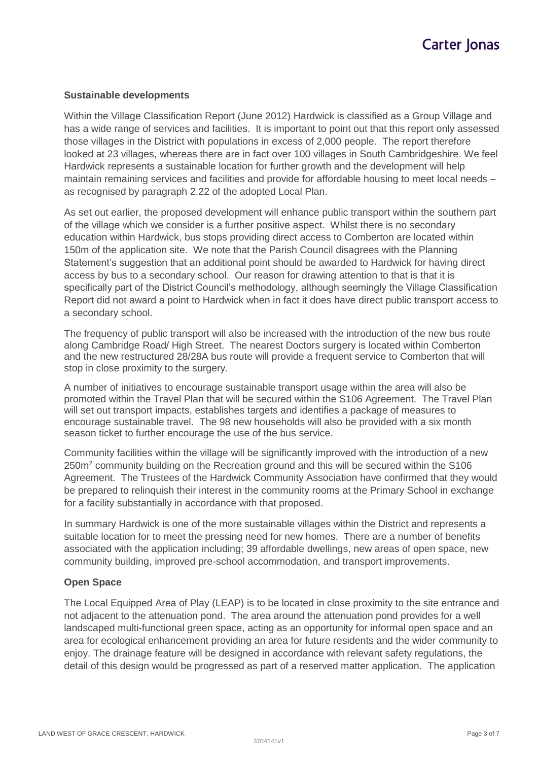## **Sustainable developments**

Within the Village Classification Report (June 2012) Hardwick is classified as a Group Village and has a wide range of services and facilities. It is important to point out that this report only assessed those villages in the District with populations in excess of 2,000 people. The report therefore looked at 23 villages, whereas there are in fact over 100 villages in South Cambridgeshire. We feel Hardwick represents a sustainable location for further growth and the development will help maintain remaining services and facilities and provide for affordable housing to meet local needs – as recognised by paragraph 2.22 of the adopted Local Plan.

As set out earlier, the proposed development will enhance public transport within the southern part of the village which we consider is a further positive aspect. Whilst there is no secondary education within Hardwick, bus stops providing direct access to Comberton are located within 150m of the application site. We note that the Parish Council disagrees with the Planning Statement's suggestion that an additional point should be awarded to Hardwick for having direct access by bus to a secondary school. Our reason for drawing attention to that is that it is specifically part of the District Council's methodology, although seemingly the Village Classification Report did not award a point to Hardwick when in fact it does have direct public transport access to a secondary school.

The frequency of public transport will also be increased with the introduction of the new bus route along Cambridge Road/ High Street. The nearest Doctors surgery is located within Comberton and the new restructured 28/28A bus route will provide a frequent service to Comberton that will stop in close proximity to the surgery.

A number of initiatives to encourage sustainable transport usage within the area will also be promoted within the Travel Plan that will be secured within the S106 Agreement. The Travel Plan will set out transport impacts, establishes targets and identifies a package of measures to encourage sustainable travel. The 98 new households will also be provided with a six month season ticket to further encourage the use of the bus service.

Community facilities within the village will be significantly improved with the introduction of a new 250m<sup>2</sup> community building on the Recreation ground and this will be secured within the S106 Agreement. The Trustees of the Hardwick Community Association have confirmed that they would be prepared to relinquish their interest in the community rooms at the Primary School in exchange for a facility substantially in accordance with that proposed.

In summary Hardwick is one of the more sustainable villages within the District and represents a suitable location for to meet the pressing need for new homes. There are a number of benefits associated with the application including; 39 affordable dwellings, new areas of open space, new community building, improved pre-school accommodation, and transport improvements.

#### **Open Space**

The Local Equipped Area of Play (LEAP) is to be located in close proximity to the site entrance and not adjacent to the attenuation pond. The area around the attenuation pond provides for a well landscaped multi-functional green space, acting as an opportunity for informal open space and an area for ecological enhancement providing an area for future residents and the wider community to enjoy. The drainage feature will be designed in accordance with relevant safety regulations, the detail of this design would be progressed as part of a reserved matter application. The application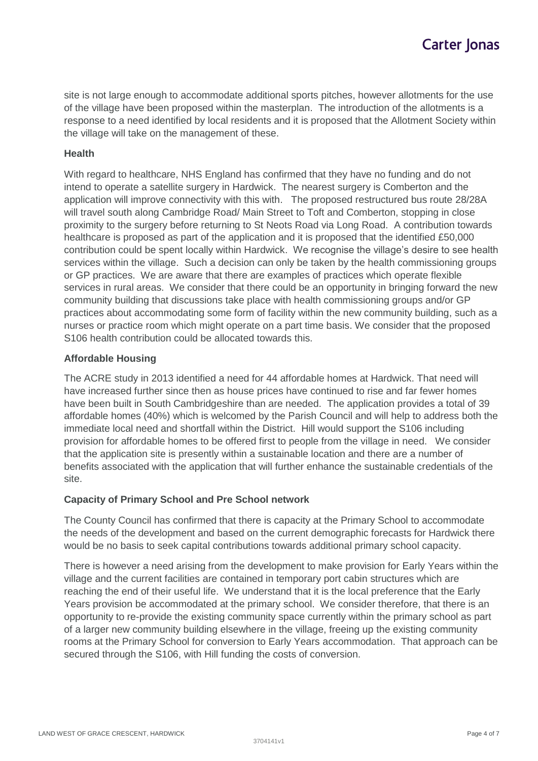site is not large enough to accommodate additional sports pitches, however allotments for the use of the village have been proposed within the masterplan. The introduction of the allotments is a response to a need identified by local residents and it is proposed that the Allotment Society within the village will take on the management of these.

#### **Health**

With regard to healthcare, NHS England has confirmed that they have no funding and do not intend to operate a satellite surgery in Hardwick. The nearest surgery is Comberton and the application will improve connectivity with this with. The proposed restructured bus route 28/28A will travel south along Cambridge Road/ Main Street to Toft and Comberton, stopping in close proximity to the surgery before returning to St Neots Road via Long Road. A contribution towards healthcare is proposed as part of the application and it is proposed that the identified £50,000 contribution could be spent locally within Hardwick. We recognise the village's desire to see health services within the village. Such a decision can only be taken by the health commissioning groups or GP practices. We are aware that there are examples of practices which operate flexible services in rural areas. We consider that there could be an opportunity in bringing forward the new community building that discussions take place with health commissioning groups and/or GP practices about accommodating some form of facility within the new community building, such as a nurses or practice room which might operate on a part time basis. We consider that the proposed S106 health contribution could be allocated towards this.

## **Affordable Housing**

The ACRE study in 2013 identified a need for 44 affordable homes at Hardwick. That need will have increased further since then as house prices have continued to rise and far fewer homes have been built in South Cambridgeshire than are needed. The application provides a total of 39 affordable homes (40%) which is welcomed by the Parish Council and will help to address both the immediate local need and shortfall within the District. Hill would support the S106 including provision for affordable homes to be offered first to people from the village in need. We consider that the application site is presently within a sustainable location and there are a number of benefits associated with the application that will further enhance the sustainable credentials of the site.

## **Capacity of Primary School and Pre School network**

The County Council has confirmed that there is capacity at the Primary School to accommodate the needs of the development and based on the current demographic forecasts for Hardwick there would be no basis to seek capital contributions towards additional primary school capacity.

There is however a need arising from the development to make provision for Early Years within the village and the current facilities are contained in temporary port cabin structures which are reaching the end of their useful life. We understand that it is the local preference that the Early Years provision be accommodated at the primary school. We consider therefore, that there is an opportunity to re-provide the existing community space currently within the primary school as part of a larger new community building elsewhere in the village, freeing up the existing community rooms at the Primary School for conversion to Early Years accommodation. That approach can be secured through the S106, with Hill funding the costs of conversion.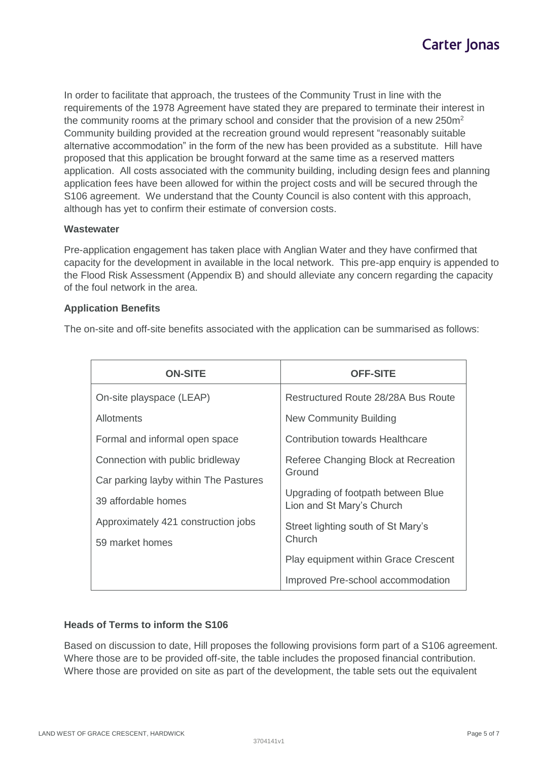In order to facilitate that approach, the trustees of the Community Trust in line with the requirements of the 1978 Agreement have stated they are prepared to terminate their interest in the community rooms at the primary school and consider that the provision of a new  $250m<sup>2</sup>$ Community building provided at the recreation ground would represent "reasonably suitable alternative accommodation" in the form of the new has been provided as a substitute. Hill have proposed that this application be brought forward at the same time as a reserved matters application. All costs associated with the community building, including design fees and planning application fees have been allowed for within the project costs and will be secured through the S106 agreement. We understand that the County Council is also content with this approach, although has yet to confirm their estimate of conversion costs.

## **Wastewater**

Pre-application engagement has taken place with Anglian Water and they have confirmed that capacity for the development in available in the local network. This pre-app enquiry is appended to the Flood Risk Assessment (Appendix B) and should alleviate any concern regarding the capacity of the foul network in the area.

#### **Application Benefits**

The on-site and off-site benefits associated with the application can be summarised as follows:

| <b>ON-SITE</b>                        | <b>OFF-SITE</b>                                                                                                   |  |
|---------------------------------------|-------------------------------------------------------------------------------------------------------------------|--|
| On-site playspace (LEAP)              | Restructured Route 28/28A Bus Route                                                                               |  |
| Allotments                            | New Community Building                                                                                            |  |
| Formal and informal open space        | Contribution towards Healthcare                                                                                   |  |
| Connection with public bridleway      | Referee Changing Block at Recreation<br>Ground<br>Upgrading of footpath between Blue<br>Lion and St Mary's Church |  |
| Car parking layby within The Pastures |                                                                                                                   |  |
| 39 affordable homes                   |                                                                                                                   |  |
| Approximately 421 construction jobs   | Street lighting south of St Mary's<br>Church                                                                      |  |
| 59 market homes                       |                                                                                                                   |  |
|                                       | <b>Play equipment within Grace Crescent</b>                                                                       |  |
|                                       | Improved Pre-school accommodation                                                                                 |  |

## **Heads of Terms to inform the S106**

Based on discussion to date, Hill proposes the following provisions form part of a S106 agreement. Where those are to be provided off-site, the table includes the proposed financial contribution. Where those are provided on site as part of the development, the table sets out the equivalent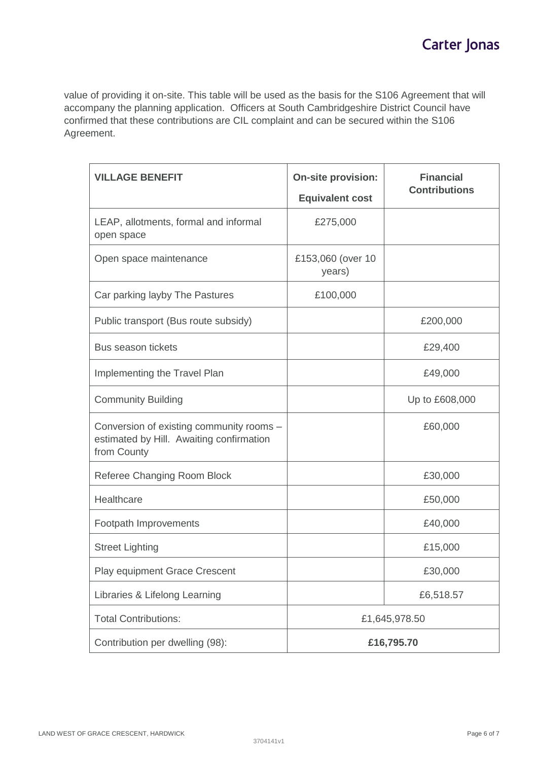value of providing it on-site. This table will be used as the basis for the S106 Agreement that will accompany the planning application. Officers at South Cambridgeshire District Council have confirmed that these contributions are CIL complaint and can be secured within the S106 Agreement.

| <b>VILLAGE BENEFIT</b>                                                                              | <b>On-site provision:</b><br><b>Equivalent cost</b> | <b>Financial</b><br><b>Contributions</b> |
|-----------------------------------------------------------------------------------------------------|-----------------------------------------------------|------------------------------------------|
| LEAP, allotments, formal and informal<br>open space                                                 | £275,000                                            |                                          |
| Open space maintenance                                                                              | £153,060 (over 10<br>years)                         |                                          |
| Car parking layby The Pastures                                                                      | £100,000                                            |                                          |
| Public transport (Bus route subsidy)                                                                |                                                     | £200,000                                 |
| <b>Bus season tickets</b>                                                                           |                                                     | £29,400                                  |
| Implementing the Travel Plan                                                                        |                                                     | £49,000                                  |
| <b>Community Building</b>                                                                           |                                                     | Up to £608,000                           |
| Conversion of existing community rooms -<br>estimated by Hill. Awaiting confirmation<br>from County |                                                     | £60,000                                  |
| Referee Changing Room Block                                                                         |                                                     | £30,000                                  |
| Healthcare                                                                                          |                                                     | £50,000                                  |
| Footpath Improvements                                                                               |                                                     | £40,000                                  |
| <b>Street Lighting</b>                                                                              |                                                     | £15,000                                  |
| Play equipment Grace Crescent                                                                       |                                                     | £30,000                                  |
| Libraries & Lifelong Learning                                                                       |                                                     | £6,518.57                                |
| <b>Total Contributions:</b>                                                                         | £1,645,978.50                                       |                                          |
| Contribution per dwelling (98):                                                                     | £16,795.70                                          |                                          |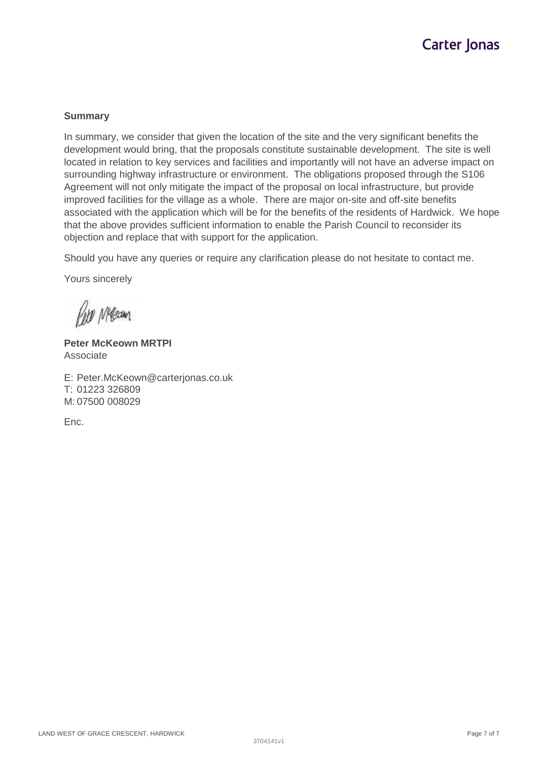#### **Summary**

In summary, we consider that given the location of the site and the very significant benefits the development would bring, that the proposals constitute sustainable development. The site is well located in relation to key services and facilities and importantly will not have an adverse impact on surrounding highway infrastructure or environment. The obligations proposed through the S106 Agreement will not only mitigate the impact of the proposal on local infrastructure, but provide improved facilities for the village as a whole. There are major on-site and off-site benefits associated with the application which will be for the benefits of the residents of Hardwick. We hope that the above provides sufficient information to enable the Parish Council to reconsider its objection and replace that with support for the application.

Should you have any queries or require any clarification please do not hesitate to contact me.

Yours sincerely

**Kim Mean** 

**Peter McKeown MRTPI** Associate

E: Peter.McKeown@carterjonas.co.uk T: 01223 326809 M: 07500 008029

Enc.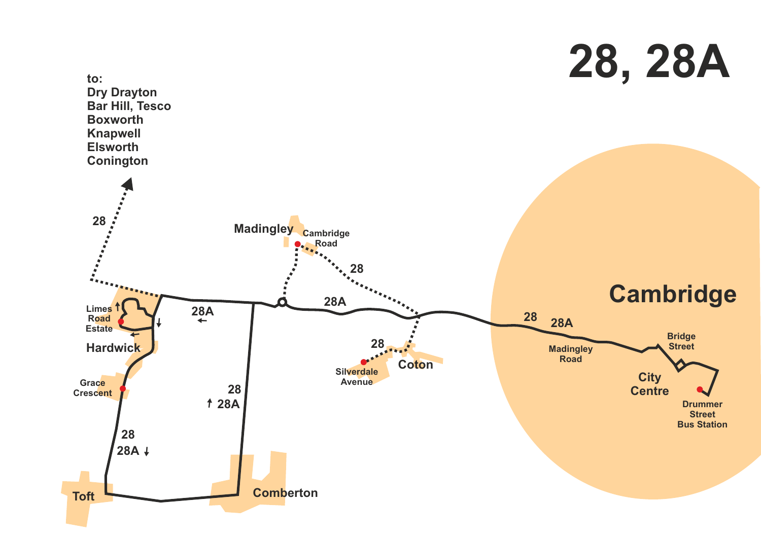